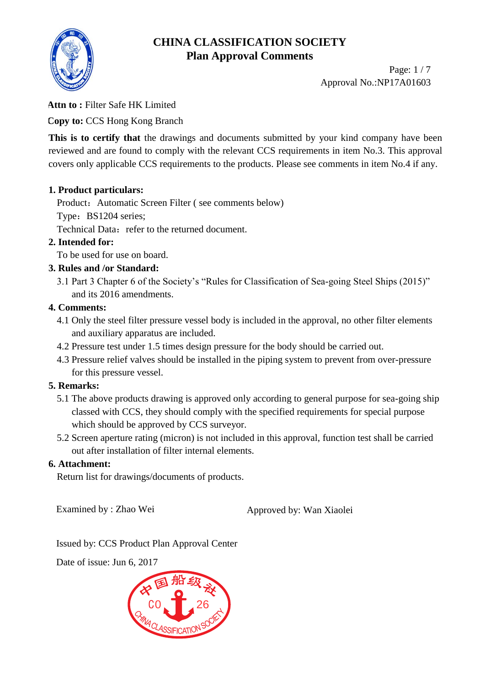

Page: 1 / 7 Approval No.:NP17A01603

### **Attn to :** Filter Safe HK Limited

**Copy to:** CCS Hong Kong Branch

This is to certify that the drawings and documents submitted by your kind company have been reviewed and are found to comply with the relevant CCS requirements in item No.3. This approval covers only applicable CCS requirements to the products. Please see comments in item No.4 if any.

### **1. Product particulars:**

Product: Automatic Screen Filter (see comments below)

Type: BS1204 series;

Technical Data: refer to the returned document.

### **2. Intended for:**

To be used for use on board.

### **3. Rules and /or Standard:**

3.1 Part 3 Chapter 6 of the Society's "Rules for Classification of Sea-going Steel Ships (2015)" and its 2016 amendments.

### **4. Comments:**

- 4.1 Only the steel filter pressure vessel body is included in the approval, no other filter elements and auxiliary apparatus are included.
- 4.2 Pressure test under 1.5 times design pressure for the body should be carried out.
- 4.3 Pressure relief valves should be installed in the piping system to prevent from over-pressure for this pressure vessel.

### **5. Remarks:**

- 5.1 The above products drawing is approved only according to general purpose for sea-going ship classed with CCS, they should comply with the specified requirements for special purpose which should be approved by CCS surveyor.
- 5.2 Screen aperture rating (micron) is not included in this approval, function test shall be carried out after installation of filter internal elements.

#### **6. Attachment:**

Return list for drawings/documents of products.

Examined by : Zhao Wei Approved by: Wan Xiaolei

Issued by: CCS Product Plan Approval Center

Date of issue: Jun 6, 2017

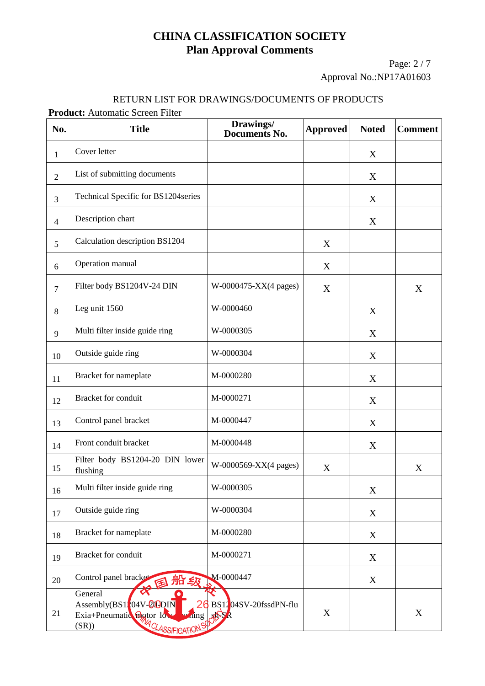Page: 2 / 7 Approval No.:NP17A01603

#### RETURN LIST FOR DRAWINGS/DOCUMENTS OF PRODUCTS

**Product:** Automatic Screen Filter

| No.            | <b>Title</b>                                                                                                       | Drawings/<br><b>Documents No.</b> | <b>Approved</b> | <b>Noted</b> | <b>Comment</b> |
|----------------|--------------------------------------------------------------------------------------------------------------------|-----------------------------------|-----------------|--------------|----------------|
| 1              | Cover letter                                                                                                       |                                   |                 | X            |                |
| $\overline{2}$ | List of submitting documents                                                                                       |                                   |                 | X            |                |
| 3              | Technical Specific for BS1204series                                                                                |                                   |                 | X            |                |
| $\overline{4}$ | Description chart                                                                                                  |                                   |                 | X            |                |
| 5              | Calculation description BS1204                                                                                     |                                   | X               |              |                |
| 6              | Operation manual                                                                                                   |                                   | X               |              |                |
| $\tau$         | Filter body BS1204V-24 DIN                                                                                         | W-0000475-XX(4 pages)             | X               |              | X              |
| 8              | Leg unit 1560                                                                                                      | W-0000460                         |                 | X            |                |
| 9              | Multi filter inside guide ring                                                                                     | W-0000305                         |                 | X            |                |
| 10             | Outside guide ring                                                                                                 | W-0000304                         |                 | X            |                |
| 11             | Bracket for nameplate                                                                                              | M-0000280                         |                 | $\mathbf X$  |                |
| 12             | Bracket for conduit                                                                                                | M-0000271                         |                 | X            |                |
| 13             | Control panel bracket                                                                                              | M-0000447                         |                 | X            |                |
| 14             | Front conduit bracket                                                                                              | M-0000448                         |                 | X            |                |
| 15             | Filter body BS1204-20 DIN lower<br>flushing                                                                        | W-0000569-XX(4 pages)             | X               |              | X              |
| 16             | Multi filter inside guide ring                                                                                     | W-0000305                         |                 | $\mathbf X$  |                |
| 17             | Outside guide ring                                                                                                 | W-0000304                         |                 | X            |                |
| 18             | Bracket for nameplate                                                                                              | M-0000280                         |                 | X            |                |
| 19             | <b>Bracket</b> for conduit                                                                                         | M-0000271                         |                 | X            |                |
| 20             | Control panel bracket<br>国船级                                                                                       | M-0000447                         |                 | X            |                |
| 21             | General<br>$\text{Assembly}(BS1,04V-20)$<br>Exia+Pneumatic Biotor los<br>hing<br><b>THA OLASSIFICATIO</b><br>(SR)) | BS1204SV-20fssdPN-flu<br>麻木       | X               |              | X              |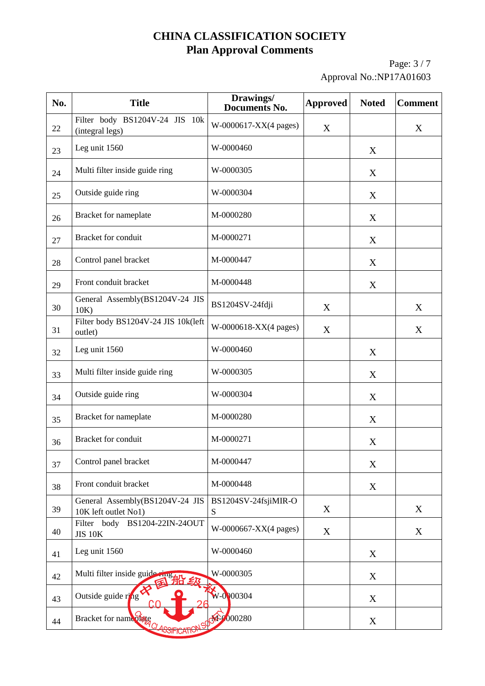Page: 3 / 7 Approval No.:NP17A01603

| No. | <b>Title</b>                                            | Drawings/<br><b>Documents No.</b> | <b>Approved</b> | <b>Noted</b> | <b>Comment</b> |
|-----|---------------------------------------------------------|-----------------------------------|-----------------|--------------|----------------|
| 22  | Filter body BS1204V-24 JIS 10k<br>(integral legs)       | W-0000617-XX(4 pages)             | X               |              | X              |
| 23  | Leg unit 1560                                           | W-0000460                         |                 | X            |                |
| 24  | Multi filter inside guide ring                          | W-0000305                         |                 | X            |                |
| 25  | Outside guide ring                                      | W-0000304                         |                 | X            |                |
| 26  | Bracket for nameplate                                   | M-0000280                         |                 | X            |                |
| 27  | <b>Bracket</b> for conduit                              | M-0000271                         |                 | X            |                |
| 28  | Control panel bracket                                   | M-0000447                         |                 | X            |                |
| 29  | Front conduit bracket                                   | M-0000448                         |                 | X            |                |
| 30  | General Assembly(BS1204V-24 JIS<br>10K                  | BS1204SV-24fdji                   | X               |              | X              |
| 31  | Filter body BS1204V-24 JIS 10k(left<br>outlet)          | W-0000618-XX(4 pages)             | X               |              | X              |
| 32  | Leg unit 1560                                           | W-0000460                         |                 | X            |                |
| 33  | Multi filter inside guide ring                          | W-0000305                         |                 | X            |                |
| 34  | Outside guide ring                                      | W-0000304                         |                 | X            |                |
| 35  | Bracket for nameplate                                   | M-0000280                         |                 | X            |                |
| 36  | <b>Bracket</b> for conduit                              | M-0000271                         |                 | X            |                |
| 37  | Control panel bracket                                   | M-0000447                         |                 | X            |                |
| 38  | Front conduit bracket                                   | M-0000448                         |                 | $\mathbf X$  |                |
| 39  | General Assembly(BS1204V-24 JIS<br>10K left outlet No1) | BS1204SV-24fsjiMIR-O<br>S         | X               |              | X              |
| 40  | Filter body BS1204-22IN-24OUT<br><b>JIS 10K</b>         | W-0000667-XX(4 pages)             | X               |              | X              |
| 41  | Leg unit 1560                                           | W-0000460                         |                 | X            |                |
| 42  | Multi filter inside guide ring<br>凸纹                    | W-0000305                         |                 | X            |                |
| 43  | Outside guide ring                                      | $W - 0.000304$                    |                 | X            |                |
| 44  | Bracket for name of the<br>OSIFICAI                     | 4.000280                          |                 | X            |                |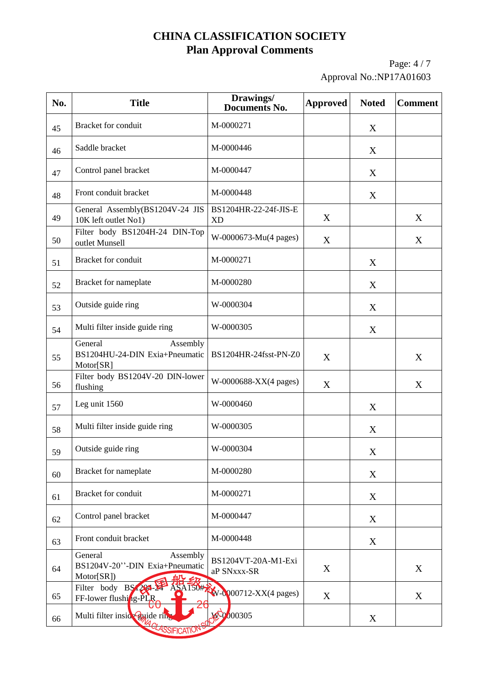Page: 4 / 7 Approval No.:NP17A01603

| No. | <b>Title</b>                                                        | Drawings/<br><b>Documents No.</b>  | <b>Approved</b> | <b>Noted</b> | <b>Comment</b> |
|-----|---------------------------------------------------------------------|------------------------------------|-----------------|--------------|----------------|
| 45  | <b>Bracket</b> for conduit                                          | M-0000271                          |                 | X            |                |
| 46  | Saddle bracket                                                      | M-0000446                          |                 | X            |                |
| 47  | Control panel bracket                                               | M-0000447                          |                 | X            |                |
| 48  | Front conduit bracket                                               | M-0000448                          |                 | X            |                |
| 49  | General Assembly(BS1204V-24 JIS<br>10K left outlet No1)             | BS1204HR-22-24f-JIS-E<br><b>XD</b> | X               |              | X              |
| 50  | Filter body BS1204H-24 DIN-Top<br>outlet Munsell                    | W-0000673-Mu(4 pages)              | X               |              | X              |
| 51  | <b>Bracket</b> for conduit                                          | M-0000271                          |                 | X            |                |
| 52  | Bracket for nameplate                                               | M-0000280                          |                 | X            |                |
| 53  | Outside guide ring                                                  | W-0000304                          |                 | X            |                |
| 54  | Multi filter inside guide ring                                      | W-0000305                          |                 | X            |                |
| 55  | General<br>Assembly<br>BS1204HU-24-DIN Exia+Pneumatic<br>Motor[SR]  | BS1204HR-24fsst-PN-Z0              | X               |              | X              |
| 56  | Filter body BS1204V-20 DIN-lower<br>flushing                        | W-0000688-XX(4 pages)              | X               |              | X              |
| 57  | Leg unit 1560                                                       | W-0000460                          |                 | X            |                |
| 58  | Multi filter inside guide ring                                      | W-0000305                          |                 | X            |                |
| 59  | Outside guide ring                                                  | W-0000304                          |                 | X            |                |
| 60  | Bracket for nameplate                                               | M-0000280                          |                 | X            |                |
| 61  | <b>Bracket</b> for conduit                                          | M-0000271                          |                 | X            |                |
| 62  | Control panel bracket                                               | M-0000447                          |                 | X            |                |
| 63  | Front conduit bracket                                               | M-0000448                          |                 | X            |                |
| 64  | General<br>Assembly<br>BS1204V-20"-DIN Exia+Pneumatic<br>Motor[SR]) | BS1204VT-20A-M1-Exi<br>aP SNxxx-SR | X               |              | X              |
| 65  | Filter body BS 294-2<br>ASA150#<br>FF-lower flushing-PLR            | $W$ - $Q$ 00712-XX(4 pages)        | X               |              | X              |
| 66  | Multi filter insideguide rin                                        | $\sqrt[3]{000305}$                 |                 | X            |                |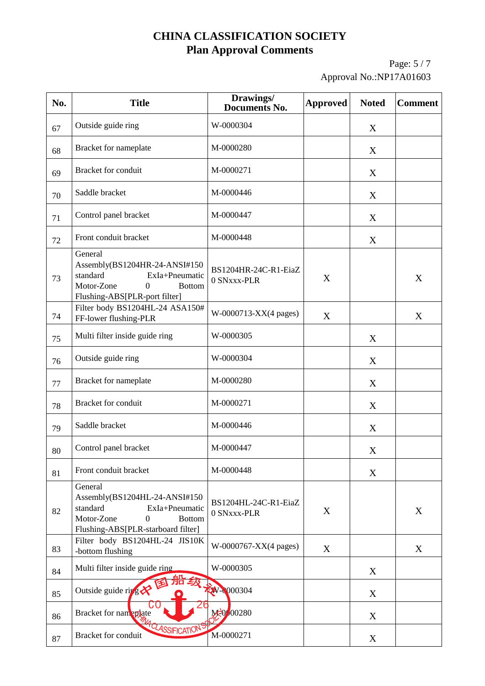Page: 5 / 7 Approval No.:NP17A01603

| No. | <b>Title</b>                                                                                                                                                    | Drawings/<br><b>Documents No.</b>   | <b>Approved</b> | <b>Noted</b> | <b>Comment</b> |
|-----|-----------------------------------------------------------------------------------------------------------------------------------------------------------------|-------------------------------------|-----------------|--------------|----------------|
| 67  | Outside guide ring                                                                                                                                              | W-0000304                           |                 | X            |                |
| 68  | Bracket for nameplate                                                                                                                                           | M-0000280                           |                 | X            |                |
| 69  | Bracket for conduit                                                                                                                                             | M-0000271                           |                 | X            |                |
| 70  | Saddle bracket                                                                                                                                                  | M-0000446                           |                 | X            |                |
| 71  | Control panel bracket                                                                                                                                           | M-0000447                           |                 | X            |                |
| 72  | Front conduit bracket                                                                                                                                           | M-0000448                           |                 | X            |                |
| 73  | General<br>Assembly(BS1204HR-24-ANSI#150<br>standard<br>ExIa+Pneumatic<br>Motor-Zone<br>$\boldsymbol{0}$<br><b>Bottom</b><br>Flushing-ABS[PLR-port filter]      | BS1204HR-24C-R1-EiaZ<br>0 SNxxx-PLR | X               |              | X              |
| 74  | Filter body BS1204HL-24 ASA150#<br>FF-lower flushing-PLR                                                                                                        | W-0000713-XX(4 pages)               | X               |              | X              |
| 75  | Multi filter inside guide ring                                                                                                                                  | W-0000305                           |                 | X            |                |
| 76  | Outside guide ring                                                                                                                                              | W-0000304                           |                 | X            |                |
| 77  | Bracket for nameplate                                                                                                                                           | M-0000280                           |                 | X            |                |
| 78  | Bracket for conduit                                                                                                                                             | M-0000271                           |                 | X            |                |
| 79  | Saddle bracket                                                                                                                                                  | M-0000446                           |                 | X            |                |
| 80  | Control panel bracket                                                                                                                                           | M-0000447                           |                 | $\mathbf X$  |                |
| 81  | Front conduit bracket                                                                                                                                           | M-0000448                           |                 | X            |                |
| 82  | General<br>Assembly(BS1204HL-24-ANSI#150<br>standard<br>ExIa+Pneumatic<br>$\boldsymbol{0}$<br>Motor-Zone<br><b>Bottom</b><br>Flushing-ABS[PLR-starboard filter] | BS1204HL-24C-R1-EiaZ<br>0 SNxxx-PLR | X               |              | X              |
| 83  | Filter body BS1204HL-24 JIS10K<br>-bottom flushing                                                                                                              | W-0000767-XX(4 pages)               | X               |              | X              |
| 84  | Multi filter inside guide ring                                                                                                                                  | W-0000305                           |                 | X            |                |
| 85  | Outside guide ring                                                                                                                                              | W-0000304                           |                 | X            |                |
| 86  | Bracket for nameplate                                                                                                                                           | M=0/00280                           |                 | X            |                |
| 87  | 4 CLASSIFICATION<br>Bracket for conduit                                                                                                                         | M-0000271                           |                 | X            |                |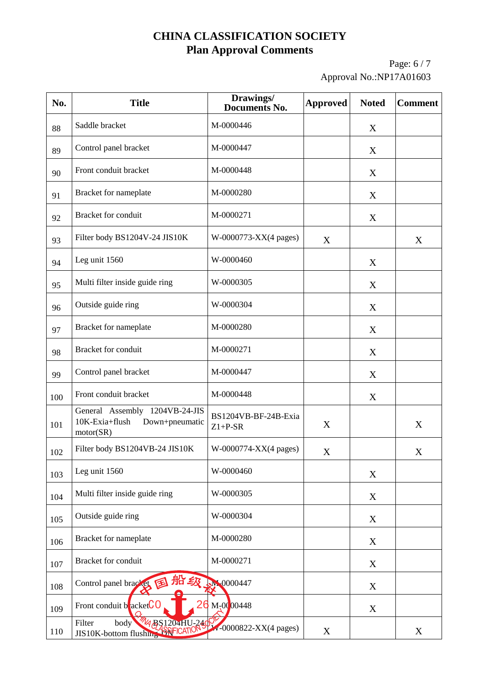Page: 6 / 7 Approval No.:NP17A01603

| No. | <b>Title</b>                                                                    | Drawings/<br><b>Documents No.</b> | <b>Approved</b> | <b>Noted</b> | <b>Comment</b> |
|-----|---------------------------------------------------------------------------------|-----------------------------------|-----------------|--------------|----------------|
| 88  | Saddle bracket                                                                  | M-0000446                         |                 | X            |                |
| 89  | Control panel bracket                                                           | M-0000447                         |                 | X            |                |
| 90  | Front conduit bracket                                                           | M-0000448                         |                 | X            |                |
| 91  | Bracket for nameplate                                                           | M-0000280                         |                 | X            |                |
| 92  | Bracket for conduit                                                             | M-0000271                         |                 | X            |                |
| 93  | Filter body BS1204V-24 JIS10K                                                   | W-0000773-XX(4 pages)             | X               |              | X              |
| 94  | Leg unit 1560                                                                   | W-0000460                         |                 | X            |                |
| 95  | Multi filter inside guide ring                                                  | W-0000305                         |                 | X            |                |
| 96  | Outside guide ring                                                              | W-0000304                         |                 | X            |                |
| 97  | Bracket for nameplate                                                           | M-0000280                         |                 | X            |                |
| 98  | Bracket for conduit                                                             | M-0000271                         |                 | X            |                |
| 99  | Control panel bracket                                                           | M-0000447                         |                 | X            |                |
| 100 | Front conduit bracket                                                           | M-0000448                         |                 | X            |                |
| 101 | General Assembly 1204VB-24-JIS<br>10K-Exia+flush<br>Down+pneumatic<br>motor(SR) | BS1204VB-BF-24B-Exia<br>$Z1+P-SR$ | X               |              | X              |
| 102 | Filter body BS1204VB-24 JIS10K                                                  | W-0000774-XX(4 pages)             | X               |              | X              |
| 103 | Leg unit 1560                                                                   | W-0000460                         |                 | $\mathbf X$  |                |
| 104 | Multi filter inside guide ring                                                  | W-0000305                         |                 | X            |                |
| 105 | Outside guide ring                                                              | W-0000304                         |                 | X            |                |
| 106 | Bracket for nameplate                                                           | M-0000280                         |                 | X            |                |
| 107 | Bracket for conduit                                                             | M-0000271                         |                 | X            |                |
| 108 | Control panel bracket<br>国                                                      | 船级 50000447                       |                 | X            |                |
| 109 | Front conduit $b$ acket $C$ 0                                                   | $M_{7}0000448$                    |                 | X            |                |
| 110 | Filter<br><b>MA BS1204HU-240</b><br>body<br>JIS10K-bottom flushing ASSIFICATIO  | $\sqrt[3]{10000822}$ -XX(4 pages) | X               |              | X              |